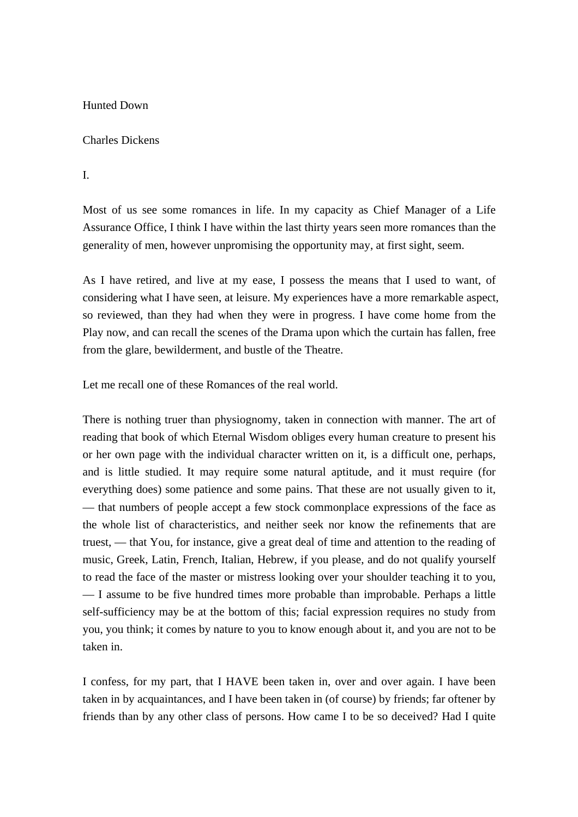#### Hunted Down

#### Charles Dickens

I.

Most of us see some romances in life. In my capacity as Chief Manager of a Life Assurance Office, I think I have within the last thirty years seen more romances than the generality of men, however unpromising the opportunity may, at first sight, seem.

As I have retired, and live at my ease, I possess the means that I used to want, of considering what I have seen, at leisure. My experiences have a more remarkable aspect, so reviewed, than they had when they were in progress. I have come home from the Play now, and can recall the scenes of the Drama upon which the curtain has fallen, free from the glare, bewilderment, and bustle of the Theatre.

Let me recall one of these Romances of the real world.

There is nothing truer than physiognomy, taken in connection with manner. The art of reading that book of which Eternal Wisdom obliges every human creature to present his or her own page with the individual character written on it, is a difficult one, perhaps, and is little studied. It may require some natural aptitude, and it must require (for everything does) some patience and some pains. That these are not usually given to it, — that numbers of people accept a few stock commonplace expressions of the face as the whole list of characteristics, and neither seek nor know the refinements that are truest, — that You, for instance, give a great deal of time and attention to the reading of music, Greek, Latin, French, Italian, Hebrew, if you please, and do not qualify yourself to read the face of the master or mistress looking over your shoulder teaching it to you, — I assume to be five hundred times more probable than improbable. Perhaps a little self-sufficiency may be at the bottom of this; facial expression requires no study from you, you think; it comes by nature to you to know enough about it, and you are not to be taken in.

I confess, for my part, that I HAVE been taken in, over and over again. I have been taken in by acquaintances, and I have been taken in (of course) by friends; far oftener by friends than by any other class of persons. How came I to be so deceived? Had I quite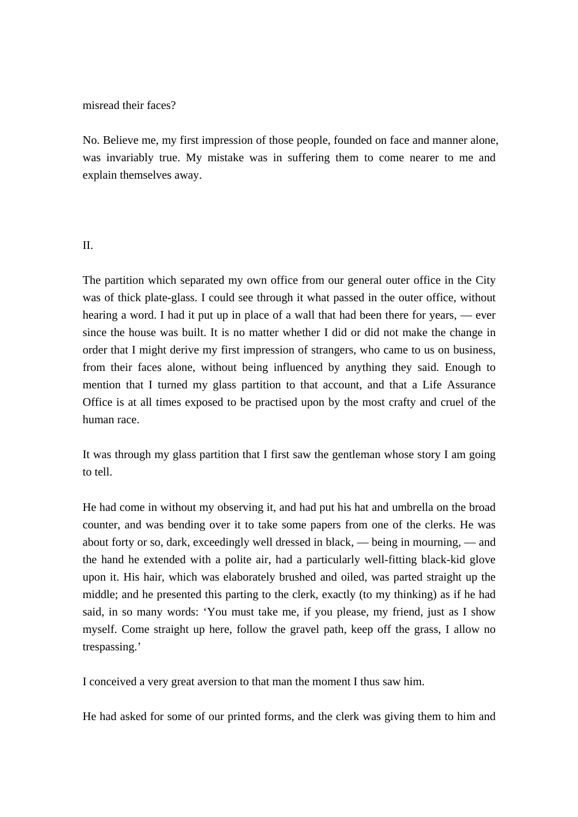#### misread their faces?

No. Believe me, my first impression of those people, founded on face and manner alone, was invariably true. My mistake was in suffering them to come nearer to me and explain themselves away.

### II.

The partition which separated my own office from our general outer office in the City was of thick plate-glass. I could see through it what passed in the outer office, without hearing a word. I had it put up in place of a wall that had been there for years, — ever since the house was built. It is no matter whether I did or did not make the change in order that I might derive my first impression of strangers, who came to us on business, from their faces alone, without being influenced by anything they said. Enough to mention that I turned my glass partition to that account, and that a Life Assurance Office is at all times exposed to be practised upon by the most crafty and cruel of the human race.

It was through my glass partition that I first saw the gentleman whose story I am going to tell.

He had come in without my observing it, and had put his hat and umbrella on the broad counter, and was bending over it to take some papers from one of the clerks. He was about forty or so, dark, exceedingly well dressed in black, — being in mourning, — and the hand he extended with a polite air, had a particularly well-fitting black-kid glove upon it. His hair, which was elaborately brushed and oiled, was parted straight up the middle; and he presented this parting to the clerk, exactly (to my thinking) as if he had said, in so many words: 'You must take me, if you please, my friend, just as I show myself. Come straight up here, follow the gravel path, keep off the grass, I allow no trespassing.'

I conceived a very great aversion to that man the moment I thus saw him.

He had asked for some of our printed forms, and the clerk was giving them to him and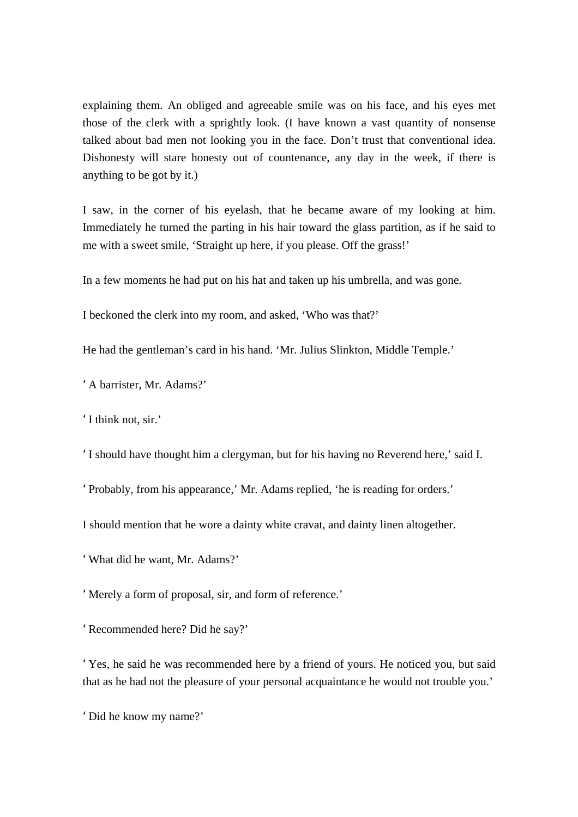explaining them. An obliged and agreeable smile was on his face, and his eyes met those of the clerk with a sprightly look. (I have known a vast quantity of nonsense talked about bad men not looking you in the face. Don't trust that conventional idea. Dishonesty will stare honesty out of countenance, any day in the week, if there is anything to be got by it.)

I saw, in the corner of his eyelash, that he became aware of my looking at him. Immediately he turned the parting in his hair toward the glass partition, as if he said to me with a sweet smile, 'Straight up here, if you please. Off the grass!'

In a few moments he had put on his hat and taken up his umbrella, and was gone.

I beckoned the clerk into my room, and asked, 'Who was that?'

He had the gentleman's card in his hand. 'Mr. Julius Slinkton, Middle Temple.'

'A barrister, Mr. Adams?'

'I think not, sir.'

'I should have thought him a clergyman, but for his having no Reverend here,' said I.

'Probably, from his appearance,' Mr. Adams replied, 'he is reading for orders.'

I should mention that he wore a dainty white cravat, and dainty linen altogether.

'What did he want, Mr. Adams?'

'Merely a form of proposal, sir, and form of reference.'

'Recommended here? Did he say?'

'Yes, he said he was recommended here by a friend of yours. He noticed you, but said that as he had not the pleasure of your personal acquaintance he would not trouble you.'

'Did he know my name?'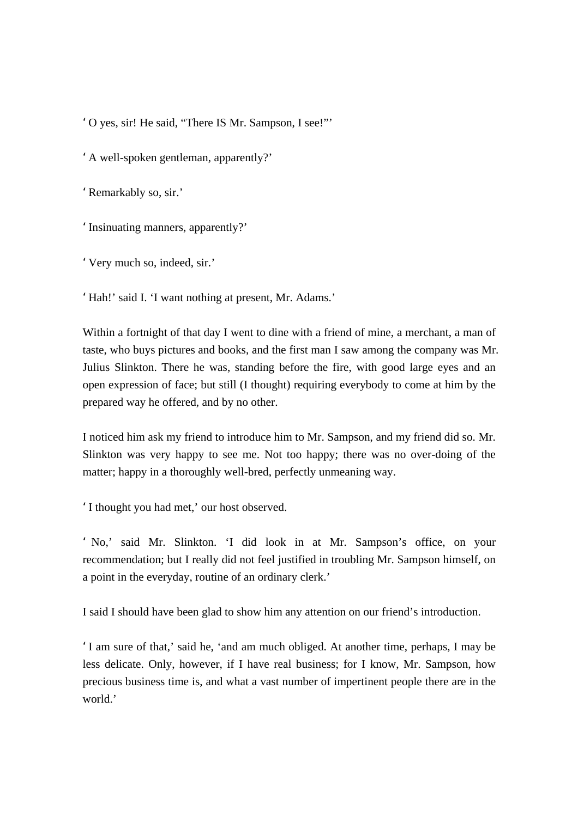'O yes, sir! He said, "There IS Mr. Sampson, I see!"'

'A well-spoken gentleman, apparently?'

'Remarkably so, sir.'

'Insinuating manners, apparently?'

'Very much so, indeed, sir.'

'Hah!' said I. 'I want nothing at present, Mr. Adams.'

Within a fortnight of that day I went to dine with a friend of mine, a merchant, a man of taste, who buys pictures and books, and the first man I saw among the company was Mr. Julius Slinkton. There he was, standing before the fire, with good large eyes and an open expression of face; but still (I thought) requiring everybody to come at him by the prepared way he offered, and by no other.

I noticed him ask my friend to introduce him to Mr. Sampson, and my friend did so. Mr. Slinkton was very happy to see me. Not too happy; there was no over-doing of the matter; happy in a thoroughly well-bred, perfectly unmeaning way.

'I thought you had met,' our host observed.

' No,' said Mr. Slinkton. 'I did look in at Mr. Sampson's office, on your recommendation; but I really did not feel justified in troubling Mr. Sampson himself, on a point in the everyday, routine of an ordinary clerk.'

I said I should have been glad to show him any attention on our friend's introduction.

'I am sure of that,' said he, 'and am much obliged. At another time, perhaps, I may be less delicate. Only, however, if I have real business; for I know, Mr. Sampson, how precious business time is, and what a vast number of impertinent people there are in the world<sup>'</sup>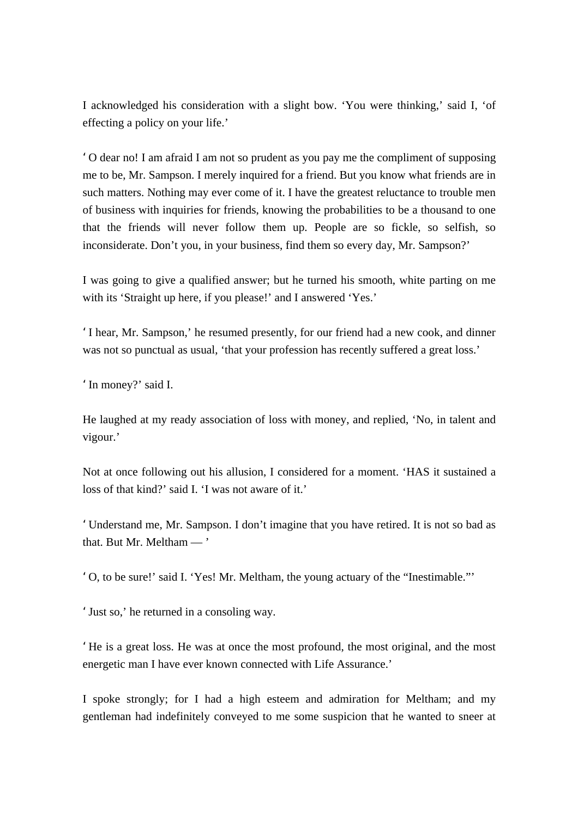I acknowledged his consideration with a slight bow. 'You were thinking,' said I, 'of effecting a policy on your life.'

'O dear no! I am afraid I am not so prudent as you pay me the compliment of supposing me to be, Mr. Sampson. I merely inquired for a friend. But you know what friends are in such matters. Nothing may ever come of it. I have the greatest reluctance to trouble men of business with inquiries for friends, knowing the probabilities to be a thousand to one that the friends will never follow them up. People are so fickle, so selfish, so inconsiderate. Don't you, in your business, find them so every day, Mr. Sampson?'

I was going to give a qualified answer; but he turned his smooth, white parting on me with its 'Straight up here, if you please!' and I answered 'Yes.'

'I hear, Mr. Sampson,' he resumed presently, for our friend had a new cook, and dinner was not so punctual as usual, 'that your profession has recently suffered a great loss.'

'In money?' said I.

He laughed at my ready association of loss with money, and replied, 'No, in talent and vigour.'

Not at once following out his allusion, I considered for a moment. 'HAS it sustained a loss of that kind?' said I. 'I was not aware of it.'

'Understand me, Mr. Sampson. I don't imagine that you have retired. It is not so bad as that. But Mr. Meltham — '

'O, to be sure!' said I. 'Yes! Mr. Meltham, the young actuary of the "Inestimable."'

'Just so,' he returned in a consoling way.

'He is a great loss. He was at once the most profound, the most original, and the most energetic man I have ever known connected with Life Assurance.'

I spoke strongly; for I had a high esteem and admiration for Meltham; and my gentleman had indefinitely conveyed to me some suspicion that he wanted to sneer at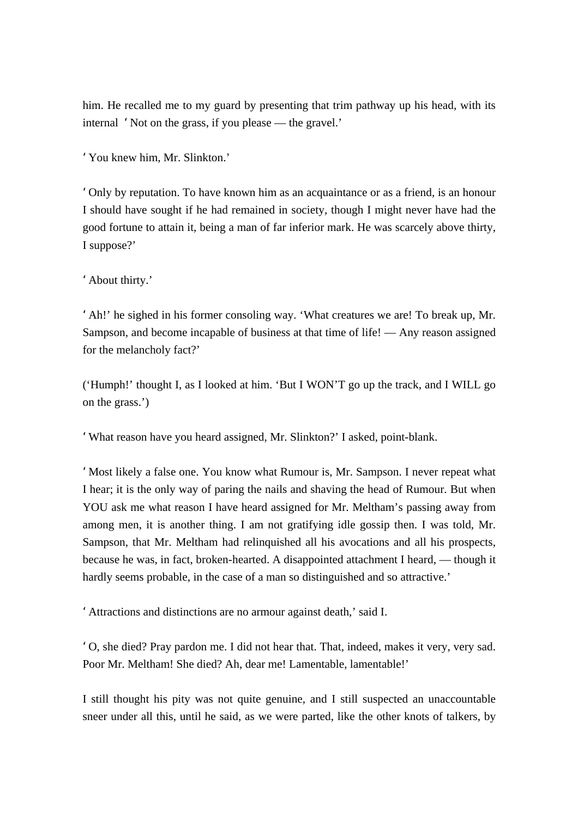him. He recalled me to my guard by presenting that trim pathway up his head, with its internal 'Not on the grass, if you please — the gravel.'

'You knew him, Mr. Slinkton.'

'Only by reputation. To have known him as an acquaintance or as a friend, is an honour I should have sought if he had remained in society, though I might never have had the good fortune to attain it, being a man of far inferior mark. He was scarcely above thirty, I suppose?'

'About thirty.'

'Ah!' he sighed in his former consoling way. 'What creatures we are! To break up, Mr. Sampson, and become incapable of business at that time of life! — Any reason assigned for the melancholy fact?'

('Humph!' thought I, as I looked at him. 'But I WON'T go up the track, and I WILL go on the grass.')

'What reason have you heard assigned, Mr. Slinkton?' I asked, point-blank.

'Most likely a false one. You know what Rumour is, Mr. Sampson. I never repeat what I hear; it is the only way of paring the nails and shaving the head of Rumour. But when YOU ask me what reason I have heard assigned for Mr. Meltham's passing away from among men, it is another thing. I am not gratifying idle gossip then. I was told, Mr. Sampson, that Mr. Meltham had relinquished all his avocations and all his prospects, because he was, in fact, broken-hearted. A disappointed attachment I heard, — though it hardly seems probable, in the case of a man so distinguished and so attractive.'

'Attractions and distinctions are no armour against death,' said I.

'O, she died? Pray pardon me. I did not hear that. That, indeed, makes it very, very sad. Poor Mr. Meltham! She died? Ah, dear me! Lamentable, lamentable!'

I still thought his pity was not quite genuine, and I still suspected an unaccountable sneer under all this, until he said, as we were parted, like the other knots of talkers, by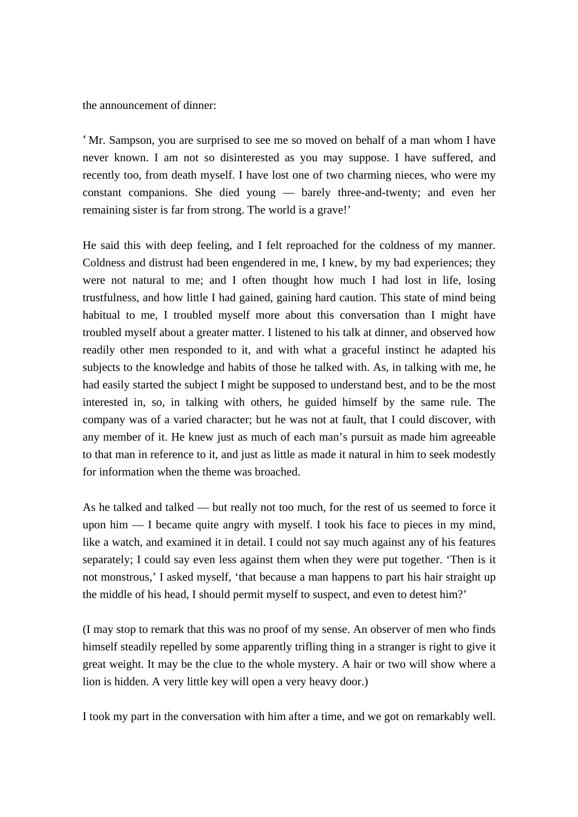the announcement of dinner:

'Mr. Sampson, you are surprised to see me so moved on behalf of a man whom I have never known. I am not so disinterested as you may suppose. I have suffered, and recently too, from death myself. I have lost one of two charming nieces, who were my constant companions. She died young — barely three-and-twenty; and even her remaining sister is far from strong. The world is a grave!'

He said this with deep feeling, and I felt reproached for the coldness of my manner. Coldness and distrust had been engendered in me, I knew, by my bad experiences; they were not natural to me; and I often thought how much I had lost in life, losing trustfulness, and how little I had gained, gaining hard caution. This state of mind being habitual to me, I troubled myself more about this conversation than I might have troubled myself about a greater matter. I listened to his talk at dinner, and observed how readily other men responded to it, and with what a graceful instinct he adapted his subjects to the knowledge and habits of those he talked with. As, in talking with me, he had easily started the subject I might be supposed to understand best, and to be the most interested in, so, in talking with others, he guided himself by the same rule. The company was of a varied character; but he was not at fault, that I could discover, with any member of it. He knew just as much of each man's pursuit as made him agreeable to that man in reference to it, and just as little as made it natural in him to seek modestly for information when the theme was broached.

As he talked and talked — but really not too much, for the rest of us seemed to force it upon him — I became quite angry with myself. I took his face to pieces in my mind, like a watch, and examined it in detail. I could not say much against any of his features separately; I could say even less against them when they were put together. 'Then is it not monstrous,' I asked myself, 'that because a man happens to part his hair straight up the middle of his head, I should permit myself to suspect, and even to detest him?'

(I may stop to remark that this was no proof of my sense. An observer of men who finds himself steadily repelled by some apparently trifling thing in a stranger is right to give it great weight. It may be the clue to the whole mystery. A hair or two will show where a lion is hidden. A very little key will open a very heavy door.)

I took my part in the conversation with him after a time, and we got on remarkably well.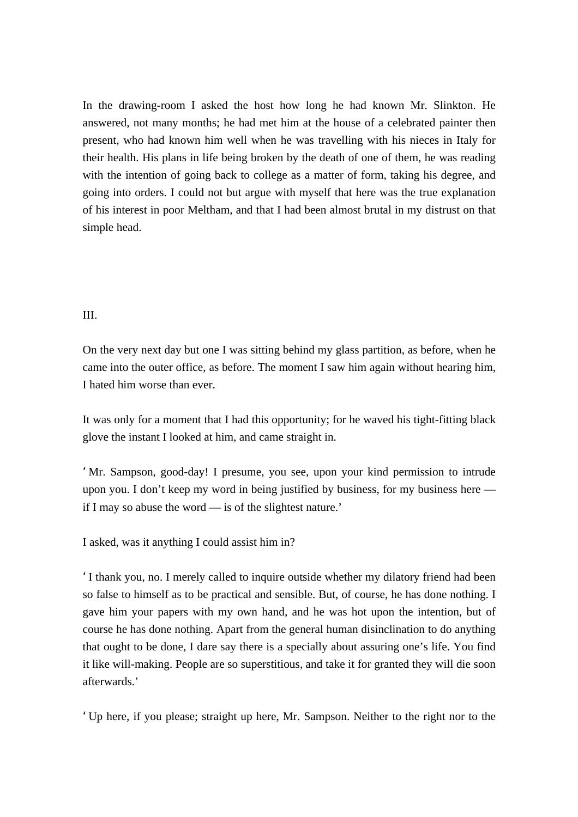In the drawing-room I asked the host how long he had known Mr. Slinkton. He answered, not many months; he had met him at the house of a celebrated painter then present, who had known him well when he was travelling with his nieces in Italy for their health. His plans in life being broken by the death of one of them, he was reading with the intention of going back to college as a matter of form, taking his degree, and going into orders. I could not but argue with myself that here was the true explanation of his interest in poor Meltham, and that I had been almost brutal in my distrust on that simple head.

## III.

On the very next day but one I was sitting behind my glass partition, as before, when he came into the outer office, as before. The moment I saw him again without hearing him, I hated him worse than ever.

It was only for a moment that I had this opportunity; for he waved his tight-fitting black glove the instant I looked at him, and came straight in.

'Mr. Sampson, good-day! I presume, you see, upon your kind permission to intrude upon you. I don't keep my word in being justified by business, for my business here if I may so abuse the word — is of the slightest nature.'

I asked, was it anything I could assist him in?

'I thank you, no. I merely called to inquire outside whether my dilatory friend had been so false to himself as to be practical and sensible. But, of course, he has done nothing. I gave him your papers with my own hand, and he was hot upon the intention, but of course he has done nothing. Apart from the general human disinclination to do anything that ought to be done, I dare say there is a specially about assuring one's life. You find it like will-making. People are so superstitious, and take it for granted they will die soon afterwards.'

'Up here, if you please; straight up here, Mr. Sampson. Neither to the right nor to the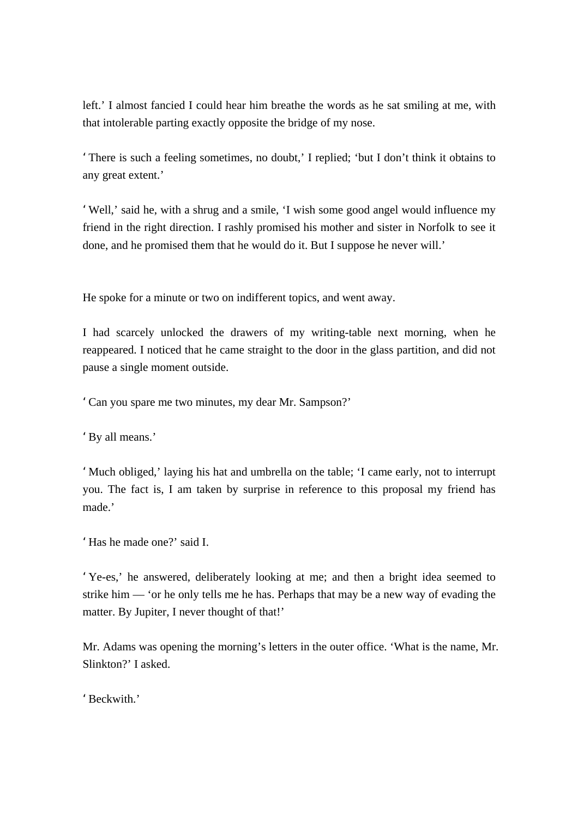left.' I almost fancied I could hear him breathe the words as he sat smiling at me, with that intolerable parting exactly opposite the bridge of my nose.

'There is such a feeling sometimes, no doubt,' I replied; 'but I don't think it obtains to any great extent.'

'Well,' said he, with a shrug and a smile, 'I wish some good angel would influence my friend in the right direction. I rashly promised his mother and sister in Norfolk to see it done, and he promised them that he would do it. But I suppose he never will.'

He spoke for a minute or two on indifferent topics, and went away.

I had scarcely unlocked the drawers of my writing-table next morning, when he reappeared. I noticed that he came straight to the door in the glass partition, and did not pause a single moment outside.

'Can you spare me two minutes, my dear Mr. Sampson?'

'By all means.'

'Much obliged,' laying his hat and umbrella on the table; 'I came early, not to interrupt you. The fact is, I am taken by surprise in reference to this proposal my friend has made.'

'Has he made one?' said I.

'Ye-es,' he answered, deliberately looking at me; and then a bright idea seemed to strike him — 'or he only tells me he has. Perhaps that may be a new way of evading the matter. By Jupiter, I never thought of that!'

Mr. Adams was opening the morning's letters in the outer office. 'What is the name, Mr. Slinkton?' I asked.

'Beckwith.'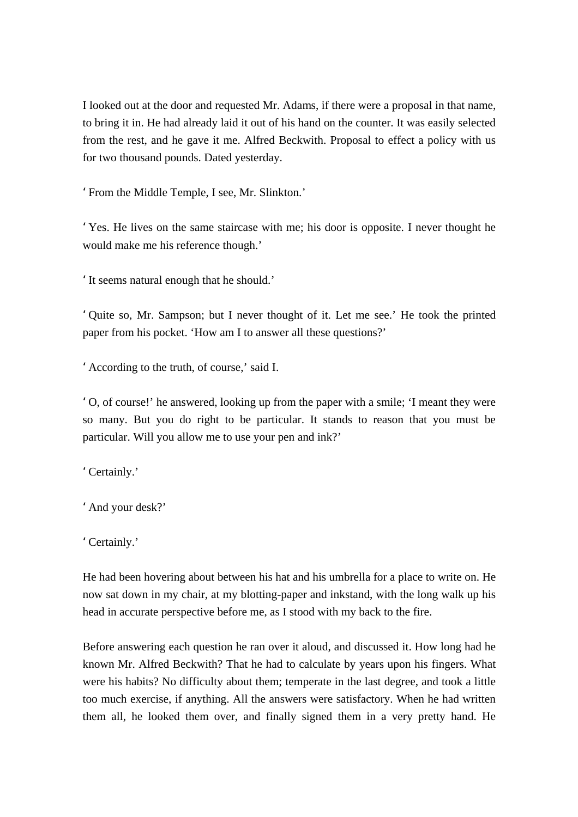I looked out at the door and requested Mr. Adams, if there were a proposal in that name, to bring it in. He had already laid it out of his hand on the counter. It was easily selected from the rest, and he gave it me. Alfred Beckwith. Proposal to effect a policy with us for two thousand pounds. Dated yesterday.

'From the Middle Temple, I see, Mr. Slinkton.'

'Yes. He lives on the same staircase with me; his door is opposite. I never thought he would make me his reference though.'

'It seems natural enough that he should.'

'Quite so, Mr. Sampson; but I never thought of it. Let me see.' He took the printed paper from his pocket. 'How am I to answer all these questions?'

'According to the truth, of course,' said I.

'O, of course!' he answered, looking up from the paper with a smile; 'I meant they were so many. But you do right to be particular. It stands to reason that you must be particular. Will you allow me to use your pen and ink?'

'Certainly.'

'And your desk?'

'Certainly.'

He had been hovering about between his hat and his umbrella for a place to write on. He now sat down in my chair, at my blotting-paper and inkstand, with the long walk up his head in accurate perspective before me, as I stood with my back to the fire.

Before answering each question he ran over it aloud, and discussed it. How long had he known Mr. Alfred Beckwith? That he had to calculate by years upon his fingers. What were his habits? No difficulty about them; temperate in the last degree, and took a little too much exercise, if anything. All the answers were satisfactory. When he had written them all, he looked them over, and finally signed them in a very pretty hand. He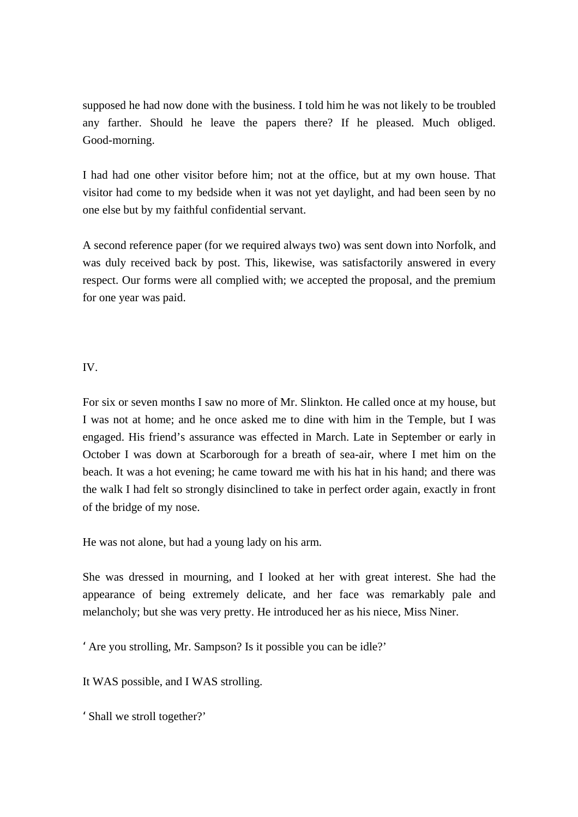supposed he had now done with the business. I told him he was not likely to be troubled any farther. Should he leave the papers there? If he pleased. Much obliged. Good-morning.

I had had one other visitor before him; not at the office, but at my own house. That visitor had come to my bedside when it was not yet daylight, and had been seen by no one else but by my faithful confidential servant.

A second reference paper (for we required always two) was sent down into Norfolk, and was duly received back by post. This, likewise, was satisfactorily answered in every respect. Our forms were all complied with; we accepted the proposal, and the premium for one year was paid.

## IV.

For six or seven months I saw no more of Mr. Slinkton. He called once at my house, but I was not at home; and he once asked me to dine with him in the Temple, but I was engaged. His friend's assurance was effected in March. Late in September or early in October I was down at Scarborough for a breath of sea-air, where I met him on the beach. It was a hot evening; he came toward me with his hat in his hand; and there was the walk I had felt so strongly disinclined to take in perfect order again, exactly in front of the bridge of my nose.

He was not alone, but had a young lady on his arm.

She was dressed in mourning, and I looked at her with great interest. She had the appearance of being extremely delicate, and her face was remarkably pale and melancholy; but she was very pretty. He introduced her as his niece, Miss Niner.

'Are you strolling, Mr. Sampson? Is it possible you can be idle?'

It WAS possible, and I WAS strolling.

'Shall we stroll together?'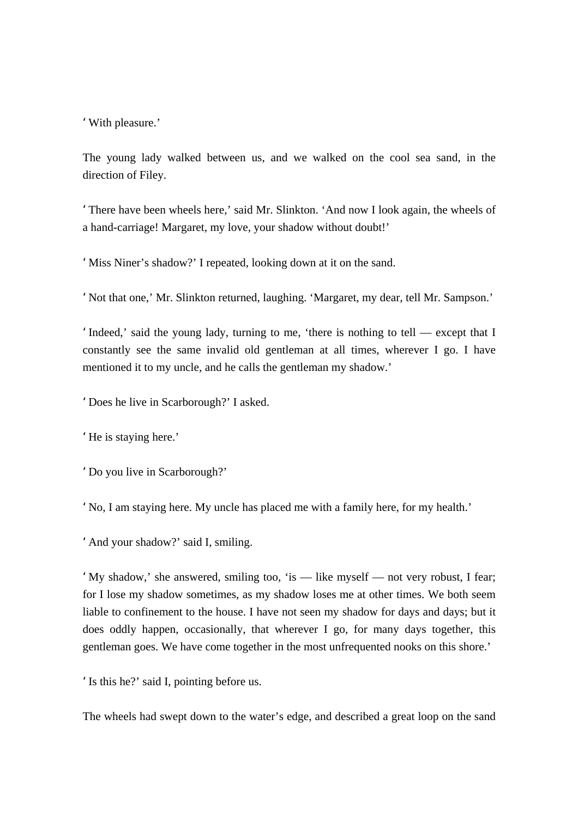'With pleasure.'

The young lady walked between us, and we walked on the cool sea sand, in the direction of Filey.

'There have been wheels here,' said Mr. Slinkton. 'And now I look again, the wheels of a hand-carriage! Margaret, my love, your shadow without doubt!'

'Miss Niner's shadow?' I repeated, looking down at it on the sand.

'Not that one,' Mr. Slinkton returned, laughing. 'Margaret, my dear, tell Mr. Sampson.'

'Indeed,' said the young lady, turning to me, 'there is nothing to tell — except that I constantly see the same invalid old gentleman at all times, wherever I go. I have mentioned it to my uncle, and he calls the gentleman my shadow.'

'Does he live in Scarborough?' I asked.

'He is staying here.'

'Do you live in Scarborough?'

'No, I am staying here. My uncle has placed me with a family here, for my health.'

'And your shadow?' said I, smiling.

'My shadow,' she answered, smiling too, 'is — like myself — not very robust, I fear; for I lose my shadow sometimes, as my shadow loses me at other times. We both seem liable to confinement to the house. I have not seen my shadow for days and days; but it does oddly happen, occasionally, that wherever I go, for many days together, this gentleman goes. We have come together in the most unfrequented nooks on this shore.'

'Is this he?' said I, pointing before us.

The wheels had swept down to the water's edge, and described a great loop on the sand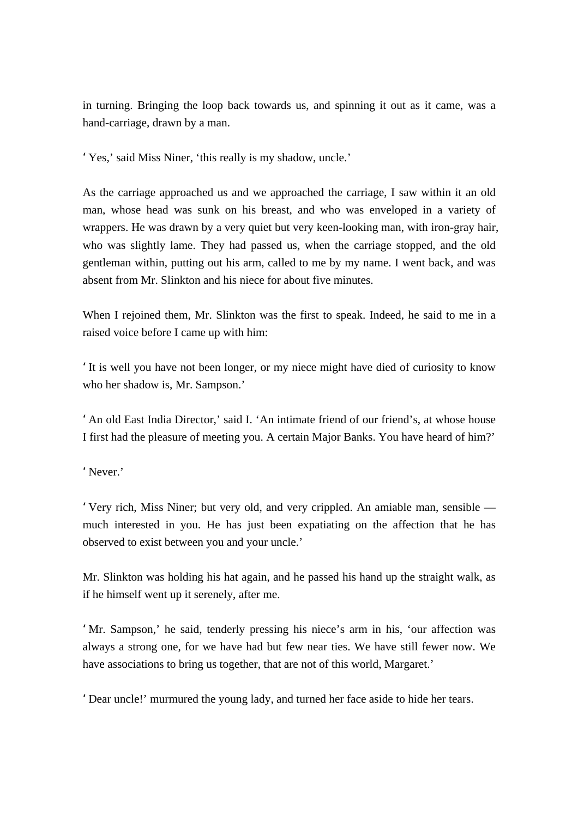in turning. Bringing the loop back towards us, and spinning it out as it came, was a hand-carriage, drawn by a man.

'Yes,' said Miss Niner, 'this really is my shadow, uncle.'

As the carriage approached us and we approached the carriage, I saw within it an old man, whose head was sunk on his breast, and who was enveloped in a variety of wrappers. He was drawn by a very quiet but very keen-looking man, with iron-gray hair, who was slightly lame. They had passed us, when the carriage stopped, and the old gentleman within, putting out his arm, called to me by my name. I went back, and was absent from Mr. Slinkton and his niece for about five minutes.

When I rejoined them, Mr. Slinkton was the first to speak. Indeed, he said to me in a raised voice before I came up with him:

'It is well you have not been longer, or my niece might have died of curiosity to know who her shadow is, Mr. Sampson.'

'An old East India Director,' said I. 'An intimate friend of our friend's, at whose house I first had the pleasure of meeting you. A certain Major Banks. You have heard of him?'

' Never.'

'Very rich, Miss Niner; but very old, and very crippled. An amiable man, sensible much interested in you. He has just been expatiating on the affection that he has observed to exist between you and your uncle.'

Mr. Slinkton was holding his hat again, and he passed his hand up the straight walk, as if he himself went up it serenely, after me.

'Mr. Sampson,' he said, tenderly pressing his niece's arm in his, 'our affection was always a strong one, for we have had but few near ties. We have still fewer now. We have associations to bring us together, that are not of this world, Margaret.'

'Dear uncle!' murmured the young lady, and turned her face aside to hide her tears.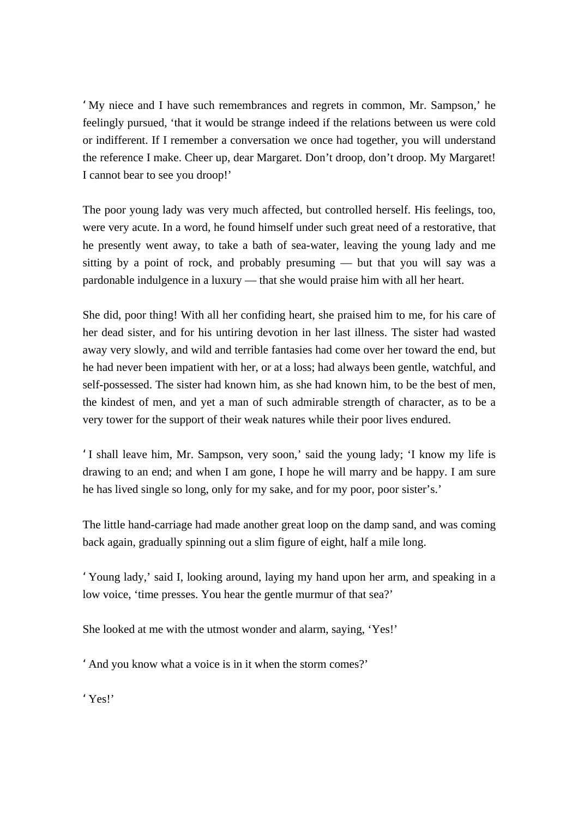'My niece and I have such remembrances and regrets in common, Mr. Sampson,' he feelingly pursued, 'that it would be strange indeed if the relations between us were cold or indifferent. If I remember a conversation we once had together, you will understand the reference I make. Cheer up, dear Margaret. Don't droop, don't droop. My Margaret! I cannot bear to see you droop!'

The poor young lady was very much affected, but controlled herself. His feelings, too, were very acute. In a word, he found himself under such great need of a restorative, that he presently went away, to take a bath of sea-water, leaving the young lady and me sitting by a point of rock, and probably presuming — but that you will say was a pardonable indulgence in a luxury — that she would praise him with all her heart.

She did, poor thing! With all her confiding heart, she praised him to me, for his care of her dead sister, and for his untiring devotion in her last illness. The sister had wasted away very slowly, and wild and terrible fantasies had come over her toward the end, but he had never been impatient with her, or at a loss; had always been gentle, watchful, and self-possessed. The sister had known him, as she had known him, to be the best of men, the kindest of men, and yet a man of such admirable strength of character, as to be a very tower for the support of their weak natures while their poor lives endured.

'I shall leave him, Mr. Sampson, very soon,' said the young lady; 'I know my life is drawing to an end; and when I am gone, I hope he will marry and be happy. I am sure he has lived single so long, only for my sake, and for my poor, poor sister's.'

The little hand-carriage had made another great loop on the damp sand, and was coming back again, gradually spinning out a slim figure of eight, half a mile long.

'Young lady,' said I, looking around, laying my hand upon her arm, and speaking in a low voice, 'time presses. You hear the gentle murmur of that sea?'

She looked at me with the utmost wonder and alarm, saying, 'Yes!'

'And you know what a voice is in it when the storm comes?'

'Yes!'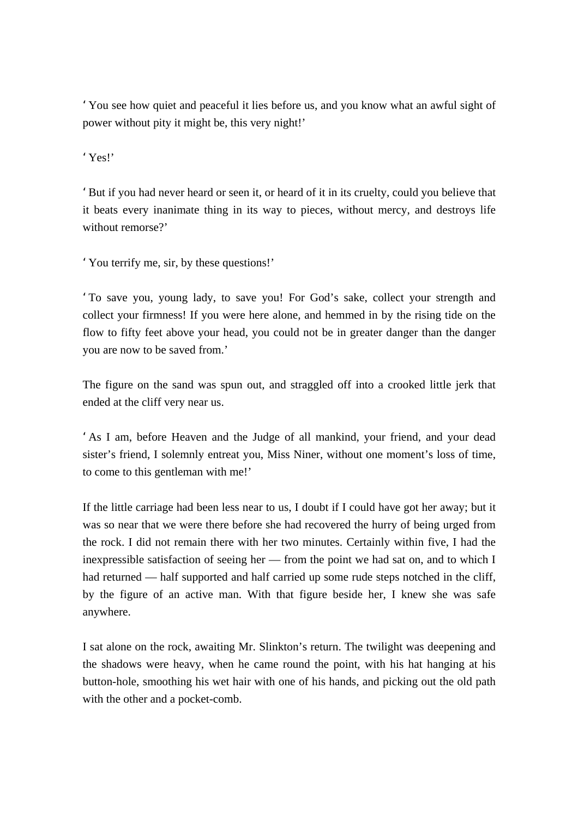'You see how quiet and peaceful it lies before us, and you know what an awful sight of power without pity it might be, this very night!'

'Yes!'

'But if you had never heard or seen it, or heard of it in its cruelty, could you believe that it beats every inanimate thing in its way to pieces, without mercy, and destroys life without remorse?'

'You terrify me, sir, by these questions!'

'To save you, young lady, to save you! For God's sake, collect your strength and collect your firmness! If you were here alone, and hemmed in by the rising tide on the flow to fifty feet above your head, you could not be in greater danger than the danger you are now to be saved from.'

The figure on the sand was spun out, and straggled off into a crooked little jerk that ended at the cliff very near us.

'As I am, before Heaven and the Judge of all mankind, your friend, and your dead sister's friend, I solemnly entreat you, Miss Niner, without one moment's loss of time, to come to this gentleman with me!'

If the little carriage had been less near to us, I doubt if I could have got her away; but it was so near that we were there before she had recovered the hurry of being urged from the rock. I did not remain there with her two minutes. Certainly within five, I had the inexpressible satisfaction of seeing her — from the point we had sat on, and to which I had returned — half supported and half carried up some rude steps notched in the cliff, by the figure of an active man. With that figure beside her, I knew she was safe anywhere.

I sat alone on the rock, awaiting Mr. Slinkton's return. The twilight was deepening and the shadows were heavy, when he came round the point, with his hat hanging at his button-hole, smoothing his wet hair with one of his hands, and picking out the old path with the other and a pocket-comb.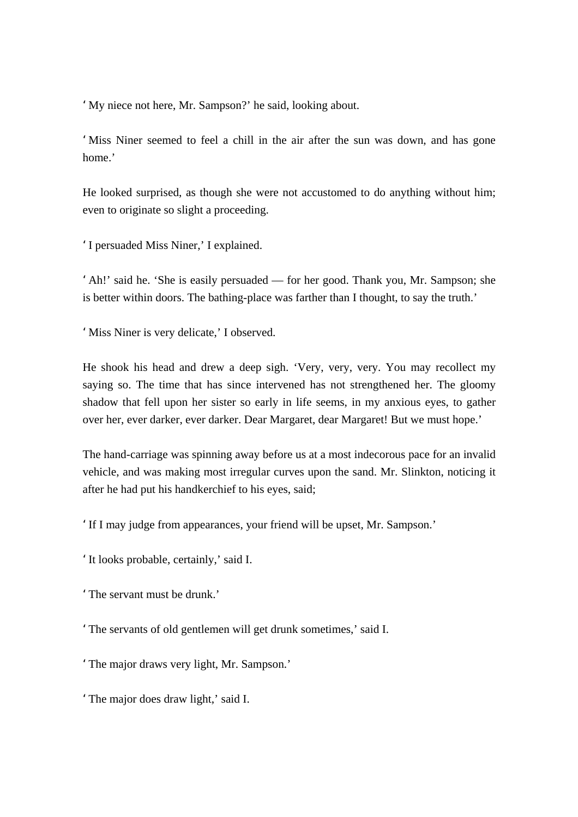'My niece not here, Mr. Sampson?' he said, looking about.

'Miss Niner seemed to feel a chill in the air after the sun was down, and has gone home.'

He looked surprised, as though she were not accustomed to do anything without him; even to originate so slight a proceeding.

'I persuaded Miss Niner,' I explained.

'Ah!' said he. 'She is easily persuaded — for her good. Thank you, Mr. Sampson; she is better within doors. The bathing-place was farther than I thought, to say the truth.'

'Miss Niner is very delicate,' I observed.

He shook his head and drew a deep sigh. 'Very, very, very. You may recollect my saying so. The time that has since intervened has not strengthened her. The gloomy shadow that fell upon her sister so early in life seems, in my anxious eyes, to gather over her, ever darker, ever darker. Dear Margaret, dear Margaret! But we must hope.'

The hand-carriage was spinning away before us at a most indecorous pace for an invalid vehicle, and was making most irregular curves upon the sand. Mr. Slinkton, noticing it after he had put his handkerchief to his eyes, said;

'If I may judge from appearances, your friend will be upset, Mr. Sampson.'

'It looks probable, certainly,' said I.

'The servant must be drunk.'

'The servants of old gentlemen will get drunk sometimes,' said I.

'The major draws very light, Mr. Sampson.'

'The major does draw light,' said I.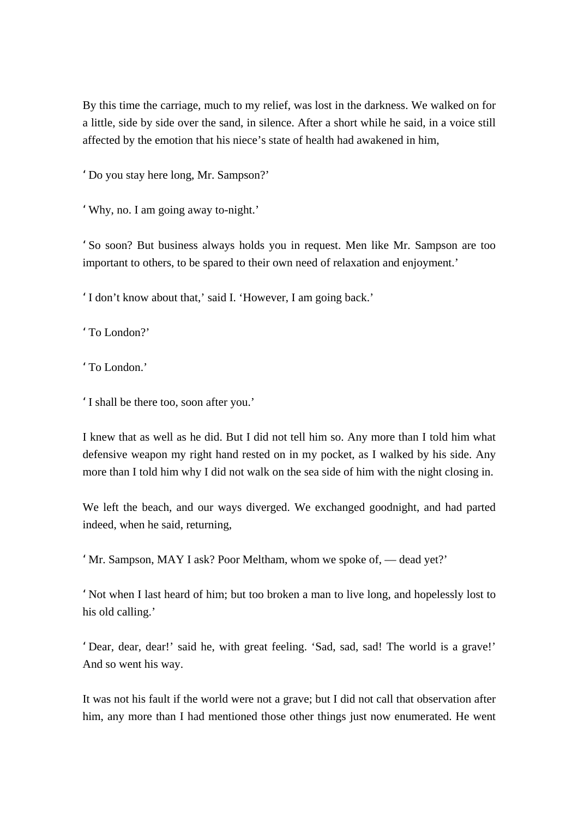By this time the carriage, much to my relief, was lost in the darkness. We walked on for a little, side by side over the sand, in silence. After a short while he said, in a voice still affected by the emotion that his niece's state of health had awakened in him,

'Do you stay here long, Mr. Sampson?'

'Why, no. I am going away to-night.'

'So soon? But business always holds you in request. Men like Mr. Sampson are too important to others, to be spared to their own need of relaxation and enjoyment.'

'I don't know about that,' said I. 'However, I am going back.'

'To London?'

'To London.'

'I shall be there too, soon after you.'

I knew that as well as he did. But I did not tell him so. Any more than I told him what defensive weapon my right hand rested on in my pocket, as I walked by his side. Any more than I told him why I did not walk on the sea side of him with the night closing in.

We left the beach, and our ways diverged. We exchanged goodnight, and had parted indeed, when he said, returning,

'Mr. Sampson, MAY I ask? Poor Meltham, whom we spoke of, — dead yet?'

'Not when I last heard of him; but too broken a man to live long, and hopelessly lost to his old calling.'

'Dear, dear, dear!' said he, with great feeling. 'Sad, sad, sad! The world is a grave!' And so went his way.

It was not his fault if the world were not a grave; but I did not call that observation after him, any more than I had mentioned those other things just now enumerated. He went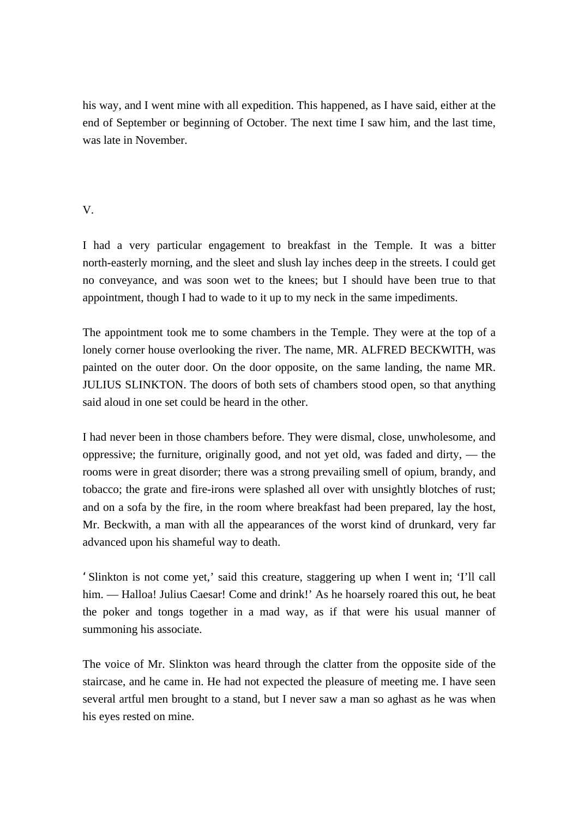his way, and I went mine with all expedition. This happened, as I have said, either at the end of September or beginning of October. The next time I saw him, and the last time, was late in November.

# V.

I had a very particular engagement to breakfast in the Temple. It was a bitter north-easterly morning, and the sleet and slush lay inches deep in the streets. I could get no conveyance, and was soon wet to the knees; but I should have been true to that appointment, though I had to wade to it up to my neck in the same impediments.

The appointment took me to some chambers in the Temple. They were at the top of a lonely corner house overlooking the river. The name, MR. ALFRED BECKWITH, was painted on the outer door. On the door opposite, on the same landing, the name MR. JULIUS SLINKTON. The doors of both sets of chambers stood open, so that anything said aloud in one set could be heard in the other.

I had never been in those chambers before. They were dismal, close, unwholesome, and oppressive; the furniture, originally good, and not yet old, was faded and dirty, — the rooms were in great disorder; there was a strong prevailing smell of opium, brandy, and tobacco; the grate and fire-irons were splashed all over with unsightly blotches of rust; and on a sofa by the fire, in the room where breakfast had been prepared, lay the host, Mr. Beckwith, a man with all the appearances of the worst kind of drunkard, very far advanced upon his shameful way to death.

'Slinkton is not come yet,' said this creature, staggering up when I went in; 'I'll call him. — Halloa! Julius Caesar! Come and drink!' As he hoarsely roared this out, he beat the poker and tongs together in a mad way, as if that were his usual manner of summoning his associate.

The voice of Mr. Slinkton was heard through the clatter from the opposite side of the staircase, and he came in. He had not expected the pleasure of meeting me. I have seen several artful men brought to a stand, but I never saw a man so aghast as he was when his eyes rested on mine.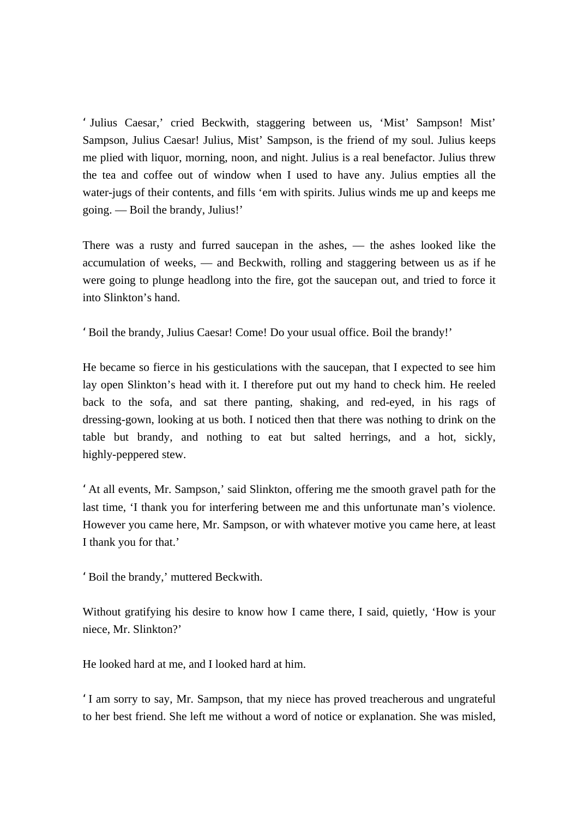' Julius Caesar,' cried Beckwith, staggering between us, 'Mist' Sampson! Mist' Sampson, Julius Caesar! Julius, Mist' Sampson, is the friend of my soul. Julius keeps me plied with liquor, morning, noon, and night. Julius is a real benefactor. Julius threw the tea and coffee out of window when I used to have any. Julius empties all the water-jugs of their contents, and fills 'em with spirits. Julius winds me up and keeps me going. — Boil the brandy, Julius!'

There was a rusty and furred saucepan in the ashes, — the ashes looked like the accumulation of weeks, — and Beckwith, rolling and staggering between us as if he were going to plunge headlong into the fire, got the saucepan out, and tried to force it into Slinkton's hand.

'Boil the brandy, Julius Caesar! Come! Do your usual office. Boil the brandy!'

He became so fierce in his gesticulations with the saucepan, that I expected to see him lay open Slinkton's head with it. I therefore put out my hand to check him. He reeled back to the sofa, and sat there panting, shaking, and red-eyed, in his rags of dressing-gown, looking at us both. I noticed then that there was nothing to drink on the table but brandy, and nothing to eat but salted herrings, and a hot, sickly, highly-peppered stew.

'At all events, Mr. Sampson,' said Slinkton, offering me the smooth gravel path for the last time, 'I thank you for interfering between me and this unfortunate man's violence. However you came here, Mr. Sampson, or with whatever motive you came here, at least I thank you for that.'

'Boil the brandy,' muttered Beckwith.

Without gratifying his desire to know how I came there, I said, quietly, 'How is your niece, Mr. Slinkton?'

He looked hard at me, and I looked hard at him.

'I am sorry to say, Mr. Sampson, that my niece has proved treacherous and ungrateful to her best friend. She left me without a word of notice or explanation. She was misled,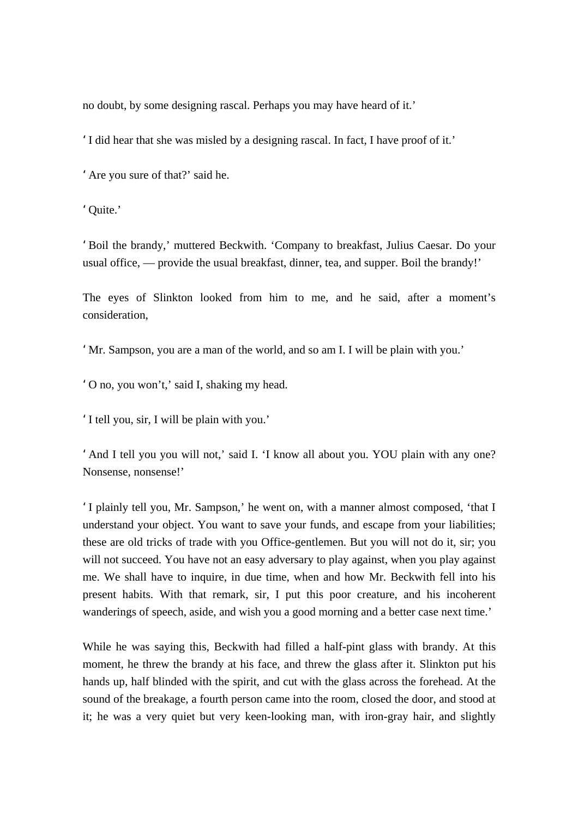no doubt, by some designing rascal. Perhaps you may have heard of it.'

'I did hear that she was misled by a designing rascal. In fact, I have proof of it.'

'Are you sure of that?' said he.

'Quite.'

'Boil the brandy,' muttered Beckwith. 'Company to breakfast, Julius Caesar. Do your usual office, — provide the usual breakfast, dinner, tea, and supper. Boil the brandy!'

The eyes of Slinkton looked from him to me, and he said, after a moment's consideration,

'Mr. Sampson, you are a man of the world, and so am I. I will be plain with you.'

'O no, you won't,' said I, shaking my head.

'I tell you, sir, I will be plain with you.'

'And I tell you you will not,' said I. 'I know all about you. YOU plain with any one? Nonsense, nonsense!'

'I plainly tell you, Mr. Sampson,' he went on, with a manner almost composed, 'that I understand your object. You want to save your funds, and escape from your liabilities; these are old tricks of trade with you Office-gentlemen. But you will not do it, sir; you will not succeed. You have not an easy adversary to play against, when you play against me. We shall have to inquire, in due time, when and how Mr. Beckwith fell into his present habits. With that remark, sir, I put this poor creature, and his incoherent wanderings of speech, aside, and wish you a good morning and a better case next time.'

While he was saying this, Beckwith had filled a half-pint glass with brandy. At this moment, he threw the brandy at his face, and threw the glass after it. Slinkton put his hands up, half blinded with the spirit, and cut with the glass across the forehead. At the sound of the breakage, a fourth person came into the room, closed the door, and stood at it; he was a very quiet but very keen-looking man, with iron-gray hair, and slightly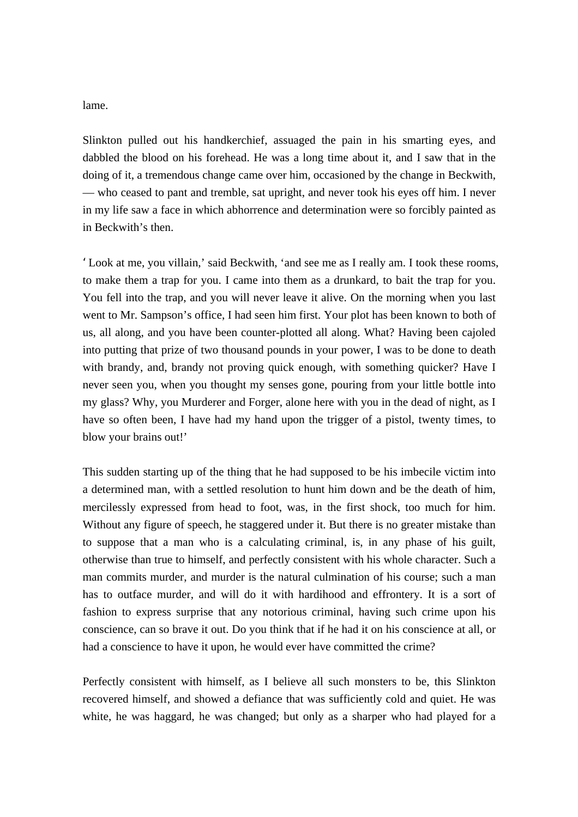lame.

Slinkton pulled out his handkerchief, assuaged the pain in his smarting eyes, and dabbled the blood on his forehead. He was a long time about it, and I saw that in the doing of it, a tremendous change came over him, occasioned by the change in Beckwith, — who ceased to pant and tremble, sat upright, and never took his eyes off him. I never in my life saw a face in which abhorrence and determination were so forcibly painted as in Beckwith's then.

'Look at me, you villain,' said Beckwith, 'and see me as I really am. I took these rooms, to make them a trap for you. I came into them as a drunkard, to bait the trap for you. You fell into the trap, and you will never leave it alive. On the morning when you last went to Mr. Sampson's office, I had seen him first. Your plot has been known to both of us, all along, and you have been counter-plotted all along. What? Having been cajoled into putting that prize of two thousand pounds in your power, I was to be done to death with brandy, and, brandy not proving quick enough, with something quicker? Have I never seen you, when you thought my senses gone, pouring from your little bottle into my glass? Why, you Murderer and Forger, alone here with you in the dead of night, as I have so often been, I have had my hand upon the trigger of a pistol, twenty times, to blow your brains out!'

This sudden starting up of the thing that he had supposed to be his imbecile victim into a determined man, with a settled resolution to hunt him down and be the death of him, mercilessly expressed from head to foot, was, in the first shock, too much for him. Without any figure of speech, he staggered under it. But there is no greater mistake than to suppose that a man who is a calculating criminal, is, in any phase of his guilt, otherwise than true to himself, and perfectly consistent with his whole character. Such a man commits murder, and murder is the natural culmination of his course; such a man has to outface murder, and will do it with hardihood and effrontery. It is a sort of fashion to express surprise that any notorious criminal, having such crime upon his conscience, can so brave it out. Do you think that if he had it on his conscience at all, or had a conscience to have it upon, he would ever have committed the crime?

Perfectly consistent with himself, as I believe all such monsters to be, this Slinkton recovered himself, and showed a defiance that was sufficiently cold and quiet. He was white, he was haggard, he was changed; but only as a sharper who had played for a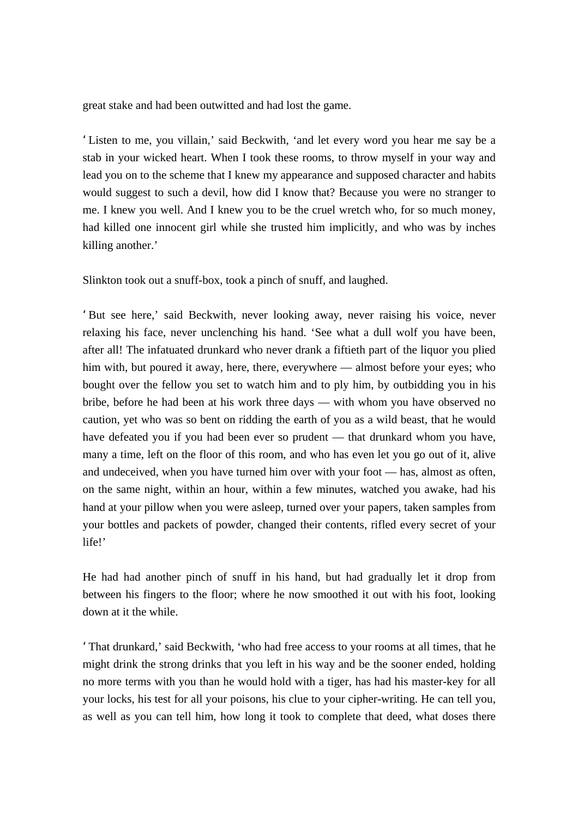great stake and had been outwitted and had lost the game.

'Listen to me, you villain,' said Beckwith, 'and let every word you hear me say be a stab in your wicked heart. When I took these rooms, to throw myself in your way and lead you on to the scheme that I knew my appearance and supposed character and habits would suggest to such a devil, how did I know that? Because you were no stranger to me. I knew you well. And I knew you to be the cruel wretch who, for so much money, had killed one innocent girl while she trusted him implicitly, and who was by inches killing another.'

Slinkton took out a snuff-box, took a pinch of snuff, and laughed.

'But see here,' said Beckwith, never looking away, never raising his voice, never relaxing his face, never unclenching his hand. 'See what a dull wolf you have been, after all! The infatuated drunkard who never drank a fiftieth part of the liquor you plied him with, but poured it away, here, there, everywhere — almost before your eyes; who bought over the fellow you set to watch him and to ply him, by outbidding you in his bribe, before he had been at his work three days — with whom you have observed no caution, yet who was so bent on ridding the earth of you as a wild beast, that he would have defeated you if you had been ever so prudent — that drunkard whom you have, many a time, left on the floor of this room, and who has even let you go out of it, alive and undeceived, when you have turned him over with your foot — has, almost as often, on the same night, within an hour, within a few minutes, watched you awake, had his hand at your pillow when you were asleep, turned over your papers, taken samples from your bottles and packets of powder, changed their contents, rifled every secret of your life!'

He had had another pinch of snuff in his hand, but had gradually let it drop from between his fingers to the floor; where he now smoothed it out with his foot, looking down at it the while.

'That drunkard,' said Beckwith, 'who had free access to your rooms at all times, that he might drink the strong drinks that you left in his way and be the sooner ended, holding no more terms with you than he would hold with a tiger, has had his master-key for all your locks, his test for all your poisons, his clue to your cipher-writing. He can tell you, as well as you can tell him, how long it took to complete that deed, what doses there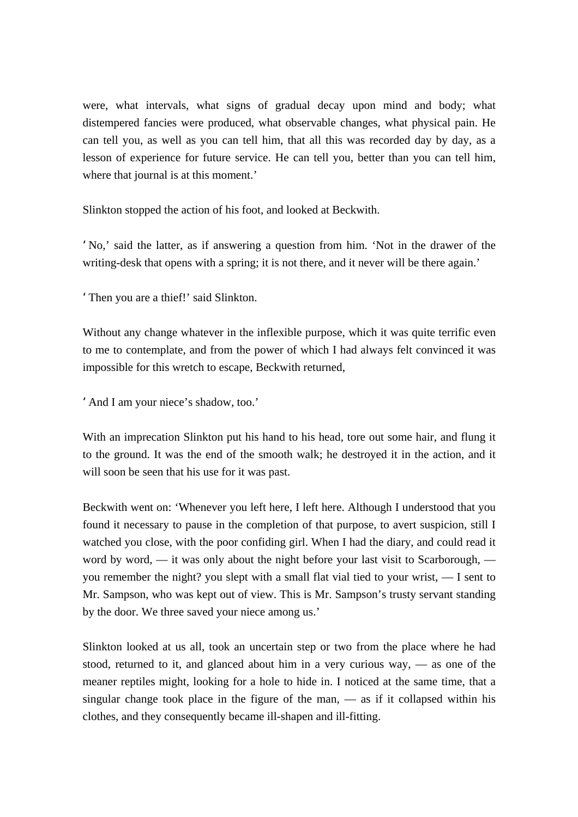were, what intervals, what signs of gradual decay upon mind and body; what distempered fancies were produced, what observable changes, what physical pain. He can tell you, as well as you can tell him, that all this was recorded day by day, as a lesson of experience for future service. He can tell you, better than you can tell him, where that journal is at this moment.'

Slinkton stopped the action of his foot, and looked at Beckwith.

'No,' said the latter, as if answering a question from him. 'Not in the drawer of the writing-desk that opens with a spring; it is not there, and it never will be there again.'

'Then you are a thief!' said Slinkton.

Without any change whatever in the inflexible purpose, which it was quite terrific even to me to contemplate, and from the power of which I had always felt convinced it was impossible for this wretch to escape, Beckwith returned,

'And I am your niece's shadow, too.'

With an imprecation Slinkton put his hand to his head, tore out some hair, and flung it to the ground. It was the end of the smooth walk; he destroyed it in the action, and it will soon be seen that his use for it was past.

Beckwith went on: 'Whenever you left here, I left here. Although I understood that you found it necessary to pause in the completion of that purpose, to avert suspicion, still I watched you close, with the poor confiding girl. When I had the diary, and could read it word by word,  $\frac{d}{dx}$  it was only about the night before your last visit to Scarborough,  $\frac{d}{dx}$ you remember the night? you slept with a small flat vial tied to your wrist, — I sent to Mr. Sampson, who was kept out of view. This is Mr. Sampson's trusty servant standing by the door. We three saved your niece among us.'

Slinkton looked at us all, took an uncertain step or two from the place where he had stood, returned to it, and glanced about him in a very curious way, — as one of the meaner reptiles might, looking for a hole to hide in. I noticed at the same time, that a singular change took place in the figure of the man, — as if it collapsed within his clothes, and they consequently became ill-shapen and ill-fitting.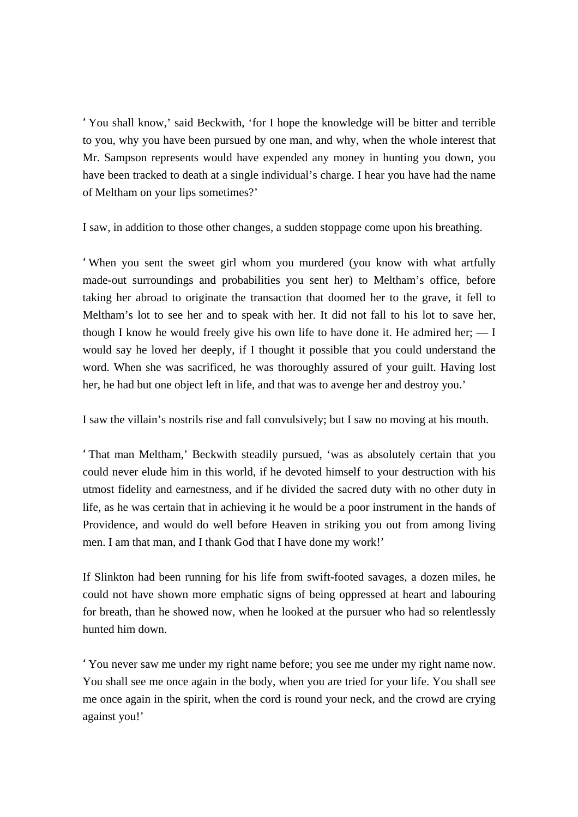'You shall know,' said Beckwith, 'for I hope the knowledge will be bitter and terrible to you, why you have been pursued by one man, and why, when the whole interest that Mr. Sampson represents would have expended any money in hunting you down, you have been tracked to death at a single individual's charge. I hear you have had the name of Meltham on your lips sometimes?'

I saw, in addition to those other changes, a sudden stoppage come upon his breathing.

'When you sent the sweet girl whom you murdered (you know with what artfully made-out surroundings and probabilities you sent her) to Meltham's office, before taking her abroad to originate the transaction that doomed her to the grave, it fell to Meltham's lot to see her and to speak with her. It did not fall to his lot to save her, though I know he would freely give his own life to have done it. He admired her;  $-1$ would say he loved her deeply, if I thought it possible that you could understand the word. When she was sacrificed, he was thoroughly assured of your guilt. Having lost her, he had but one object left in life, and that was to avenge her and destroy you.'

I saw the villain's nostrils rise and fall convulsively; but I saw no moving at his mouth.

'That man Meltham,' Beckwith steadily pursued, 'was as absolutely certain that you could never elude him in this world, if he devoted himself to your destruction with his utmost fidelity and earnestness, and if he divided the sacred duty with no other duty in life, as he was certain that in achieving it he would be a poor instrument in the hands of Providence, and would do well before Heaven in striking you out from among living men. I am that man, and I thank God that I have done my work!'

If Slinkton had been running for his life from swift-footed savages, a dozen miles, he could not have shown more emphatic signs of being oppressed at heart and labouring for breath, than he showed now, when he looked at the pursuer who had so relentlessly hunted him down.

'You never saw me under my right name before; you see me under my right name now. You shall see me once again in the body, when you are tried for your life. You shall see me once again in the spirit, when the cord is round your neck, and the crowd are crying against you!'